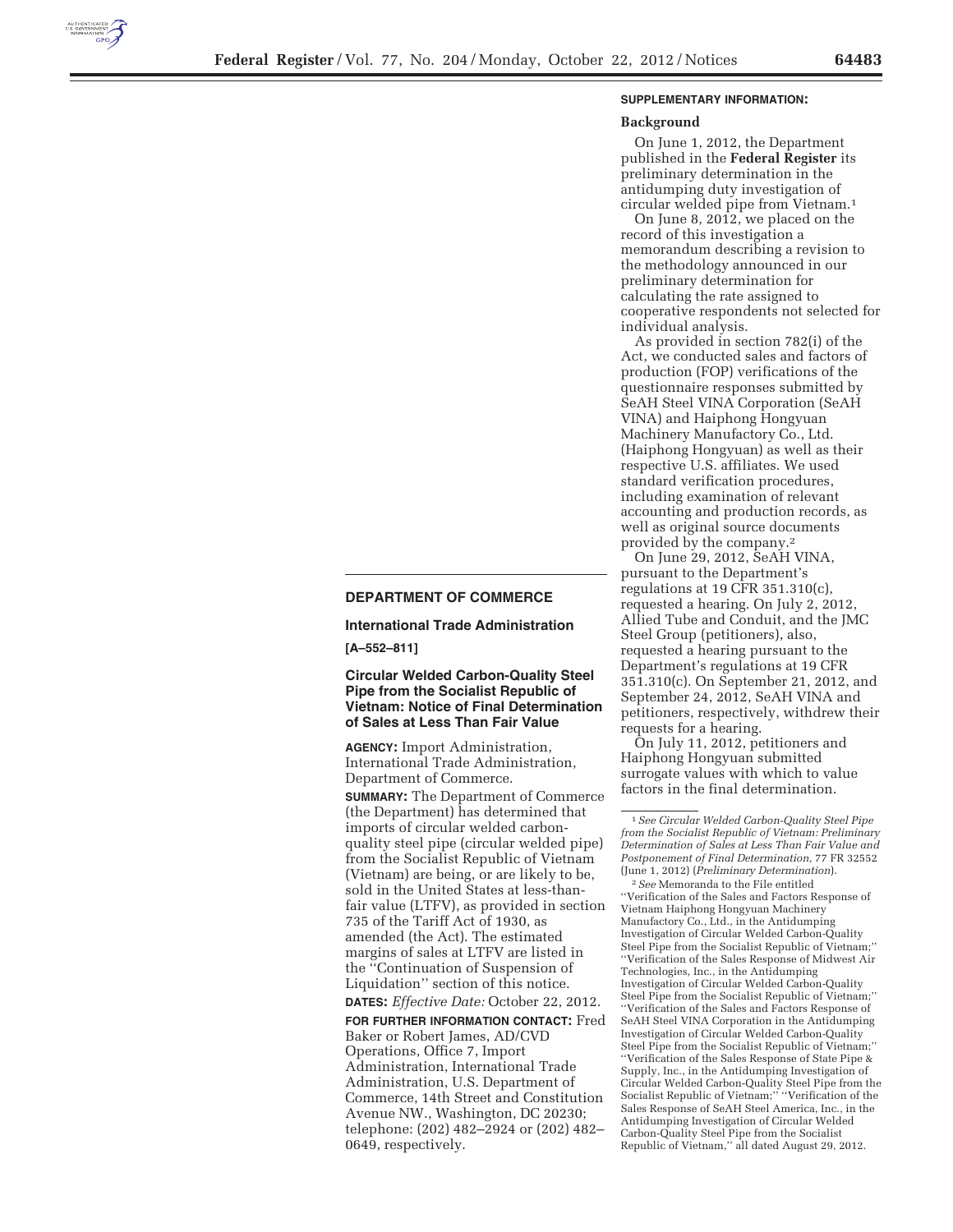

#### **SUPPLEMENTARY INFORMATION:**

#### **Background**

On June 1, 2012, the Department published in the **Federal Register** its preliminary determination in the antidumping duty investigation of circular welded pipe from Vietnam.1

On June 8, 2012, we placed on the record of this investigation a memorandum describing a revision to the methodology announced in our preliminary determination for calculating the rate assigned to cooperative respondents not selected for individual analysis.

As provided in section 782(i) of the Act, we conducted sales and factors of production (FOP) verifications of the questionnaire responses submitted by SeAH Steel VINA Corporation (SeAH VINA) and Haiphong Hongyuan Machinery Manufactory Co., Ltd. (Haiphong Hongyuan) as well as their respective U.S. affiliates. We used standard verification procedures, including examination of relevant accounting and production records, as well as original source documents provided by the company.2

On June 29, 2012, SeAH VINA, pursuant to the Department's regulations at 19 CFR 351.310(c), requested a hearing. On July 2, 2012, Allied Tube and Conduit, and the JMC Steel Group (petitioners), also, requested a hearing pursuant to the Department's regulations at 19 CFR 351.310(c). On September 21, 2012, and September 24, 2012, SeAH VINA and petitioners, respectively, withdrew their requests for a hearing.

On July 11, 2012, petitioners and Haiphong Hongyuan submitted surrogate values with which to value factors in the final determination.

# **DEPARTMENT OF COMMERCE**

**International Trade Administration** 

**[A–552–811]** 

**Circular Welded Carbon-Quality Steel Pipe from the Socialist Republic of Vietnam: Notice of Final Determination of Sales at Less Than Fair Value** 

**AGENCY:** Import Administration, International Trade Administration, Department of Commerce.

**SUMMARY:** The Department of Commerce (the Department) has determined that imports of circular welded carbonquality steel pipe (circular welded pipe) from the Socialist Republic of Vietnam (Vietnam) are being, or are likely to be, sold in the United States at less-thanfair value (LTFV), as provided in section 735 of the Tariff Act of 1930, as amended (the Act). The estimated margins of sales at LTFV are listed in the ''Continuation of Suspension of Liquidation'' section of this notice. **DATES:** *Effective Date:* October 22, 2012.

**FOR FURTHER INFORMATION CONTACT:** Fred Baker or Robert James, AD/CVD Operations, Office 7, Import Administration, International Trade Administration, U.S. Department of Commerce, 14th Street and Constitution Avenue NW., Washington, DC 20230; telephone: (202) 482–2924 or (202) 482– 0649, respectively.

<sup>1</sup>*See Circular Welded Carbon-Quality Steel Pipe from the Socialist Republic of Vietnam: Preliminary Determination of Sales at Less Than Fair Value and Postponement of Final Determination,* 77 FR 32552 (June 1, 2012) (*Preliminary Determination*). 2*See* Memoranda to the File entitled ''Verification of the Sales and Factors Response of Vietnam Haiphong Hongyuan Machinery Manufactory Co., Ltd., in the Antidumping Investigation of Circular Welded Carbon-Quality Steel Pipe from the Socialist Republic of Vietnam;'' ''Verification of the Sales Response of Midwest Air Technologies, Inc., in the Antidumping Investigation of Circular Welded Carbon-Quality Steel Pipe from the Socialist Republic of Vietnam;'' ''Verification of the Sales and Factors Response of SeAH Steel VINA Corporation in the Antidumping Investigation of Circular Welded Carbon-Quality Steel Pipe from the Socialist Republic of Vietnam;'' ''Verification of the Sales Response of State Pipe & Supply, Inc., in the Antidumping Investigation of Circular Welded Carbon-Quality Steel Pipe from the Socialist Republic of Vietnam;'' ''Verification of the Sales Response of SeAH Steel America, Inc., in the Antidumping Investigation of Circular Welded Carbon-Quality Steel Pipe from the Socialist Republic of Vietnam,'' all dated August 29, 2012.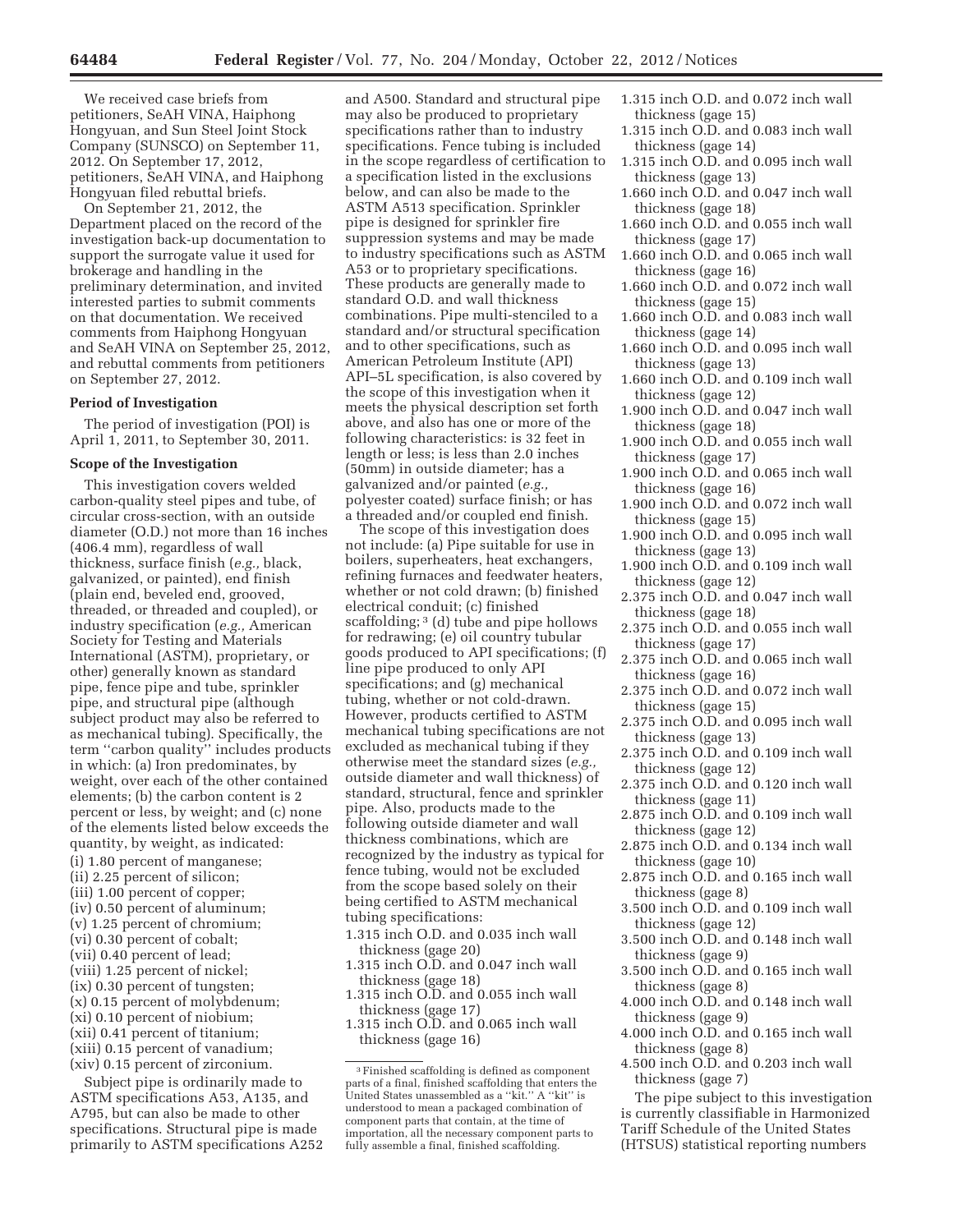We received case briefs from petitioners, SeAH VINA, Haiphong Hongyuan, and Sun Steel Joint Stock Company (SUNSCO) on September 11, 2012. On September 17, 2012, petitioners, SeAH VINA, and Haiphong Hongyuan filed rebuttal briefs.

On September 21, 2012, the Department placed on the record of the investigation back-up documentation to support the surrogate value it used for brokerage and handling in the preliminary determination, and invited interested parties to submit comments on that documentation. We received comments from Haiphong Hongyuan and SeAH VINA on September 25, 2012, and rebuttal comments from petitioners on September 27, 2012.

#### **Period of Investigation**

The period of investigation (POI) is April 1, 2011, to September 30, 2011.

#### **Scope of the Investigation**

This investigation covers welded carbon-quality steel pipes and tube, of circular cross-section, with an outside diameter (O.D.) not more than 16 inches (406.4 mm), regardless of wall thickness, surface finish (*e.g.,* black, galvanized, or painted), end finish (plain end, beveled end, grooved, threaded, or threaded and coupled), or industry specification (*e.g.,* American Society for Testing and Materials International (ASTM), proprietary, or other) generally known as standard pipe, fence pipe and tube, sprinkler pipe, and structural pipe (although subject product may also be referred to as mechanical tubing). Specifically, the term ''carbon quality'' includes products in which: (a) Iron predominates, by weight, over each of the other contained elements; (b) the carbon content is 2 percent or less, by weight; and (c) none of the elements listed below exceeds the quantity, by weight, as indicated: (i) 1.80 percent of manganese; (ii) 2.25 percent of silicon; (iii) 1.00 percent of copper; (iv) 0.50 percent of aluminum; (v) 1.25 percent of chromium; (vi) 0.30 percent of cobalt; (vii) 0.40 percent of lead; (viii) 1.25 percent of nickel; (ix) 0.30 percent of tungsten; (x) 0.15 percent of molybdenum; (xi) 0.10 percent of niobium; (xii) 0.41 percent of titanium; (xiii) 0.15 percent of vanadium; (xiv) 0.15 percent of zirconium.

Subject pipe is ordinarily made to ASTM specifications A53, A135, and A795, but can also be made to other specifications. Structural pipe is made primarily to ASTM specifications A252

and A500. Standard and structural pipe may also be produced to proprietary specifications rather than to industry specifications. Fence tubing is included in the scope regardless of certification to a specification listed in the exclusions below, and can also be made to the ASTM A513 specification. Sprinkler pipe is designed for sprinkler fire suppression systems and may be made to industry specifications such as ASTM A53 or to proprietary specifications. These products are generally made to standard O.D. and wall thickness combinations. Pipe multi-stenciled to a standard and/or structural specification and to other specifications, such as American Petroleum Institute (API) API–5L specification, is also covered by the scope of this investigation when it meets the physical description set forth above, and also has one or more of the following characteristics: is 32 feet in length or less; is less than 2.0 inches (50mm) in outside diameter; has a galvanized and/or painted (*e.g.,*  polyester coated) surface finish; or has a threaded and/or coupled end finish.

The scope of this investigation does not include: (a) Pipe suitable for use in boilers, superheaters, heat exchangers, refining furnaces and feedwater heaters, whether or not cold drawn; (b) finished electrical conduit; (c) finished scaffolding; <sup>3</sup> (d) tube and pipe hollows for redrawing; (e) oil country tubular goods produced to API specifications; (f) line pipe produced to only API specifications; and (g) mechanical tubing, whether or not cold-drawn. However, products certified to ASTM mechanical tubing specifications are not excluded as mechanical tubing if they otherwise meet the standard sizes (*e.g.,*  outside diameter and wall thickness) of standard, structural, fence and sprinkler pipe. Also, products made to the following outside diameter and wall thickness combinations, which are recognized by the industry as typical for fence tubing, would not be excluded from the scope based solely on their being certified to ASTM mechanical tubing specifications:

- 1.315 inch O.D. and 0.035 inch wall thickness (gage 20)
- 1.315 inch O.D. and 0.047 inch wall thickness (gage 18)
- 1.315 inch O.D. and 0.055 inch wall thickness (gage 17)
- 1.315 inch O.D. and 0.065 inch wall thickness (gage 16)
- 1.315 inch O.D. and 0.072 inch wall thickness (gage 15)
- 1.315 inch O.D. and 0.083 inch wall thickness (gage 14)
- 1.315 inch O.D. and 0.095 inch wall thickness (gage 13)
- 1.660 inch O.D. and 0.047 inch wall thickness (gage 18)
- 1.660 inch O.D. and 0.055 inch wall thickness (gage 17)
- 1.660 inch O.D. and 0.065 inch wall thickness (gage 16)
- 1.660 inch O.D. and 0.072 inch wall thickness (gage 15)
- 1.660 inch O.D. and 0.083 inch wall thickness (gage 14)
- 1.660 inch O.D. and 0.095 inch wall thickness (gage 13)
- 1.660 inch O.D. and 0.109 inch wall thickness (gage 12)
- 1.900 inch O.D. and 0.047 inch wall thickness (gage 18)
- 1.900 inch O.D. and 0.055 inch wall thickness (gage 17)
- 1.900 inch O.D. and 0.065 inch wall thickness (gage 16)
- 1.900 inch O.D. and 0.072 inch wall thickness (gage 15)
- 1.900 inch O.D. and 0.095 inch wall thickness (gage 13)
- 1.900 inch O.D. and 0.109 inch wall thickness (gage 12)
- 2.375 inch O.D. and 0.047 inch wall thickness (gage 18)
- 2.375 inch O.D. and 0.055 inch wall thickness (gage 17)
- 2.375 inch O.D. and 0.065 inch wall thickness (gage 16)
- 2.375 inch O.D. and 0.072 inch wall thickness (gage 15)
- 2.375 inch O.D. and 0.095 inch wall thickness (gage 13)
- 2.375 inch O.D. and 0.109 inch wall thickness (gage 12)
- 2.375 inch O.D. and 0.120 inch wall thickness (gage 11)
- 2.875 inch O.D. and 0.109 inch wall thickness (gage 12)
- 2.875 inch O.D. and 0.134 inch wall thickness (gage 10)
- 2.875 inch O.D. and 0.165 inch wall thickness (gage 8)
- 3.500 inch O.D. and 0.109 inch wall thickness (gage 12)
- 3.500 inch O.D. and 0.148 inch wall thickness (gage 9)
- 3.500 inch O.D. and 0.165 inch wall thickness (gage 8)
- 4.000 inch O.D. and 0.148 inch wall thickness (gage 9)
- 4.000 inch O.D. and 0.165 inch wall thickness (gage 8)
- 4.500 inch O.D. and 0.203 inch wall thickness (gage 7)

The pipe subject to this investigation is currently classifiable in Harmonized Tariff Schedule of the United States (HTSUS) statistical reporting numbers

<sup>3</sup>Finished scaffolding is defined as component parts of a final, finished scaffolding that enters the United States unassembled as a ''kit.'' A ''kit'' is understood to mean a packaged combination of component parts that contain, at the time of importation, all the necessary component parts to fully assemble a final, finished scaffolding.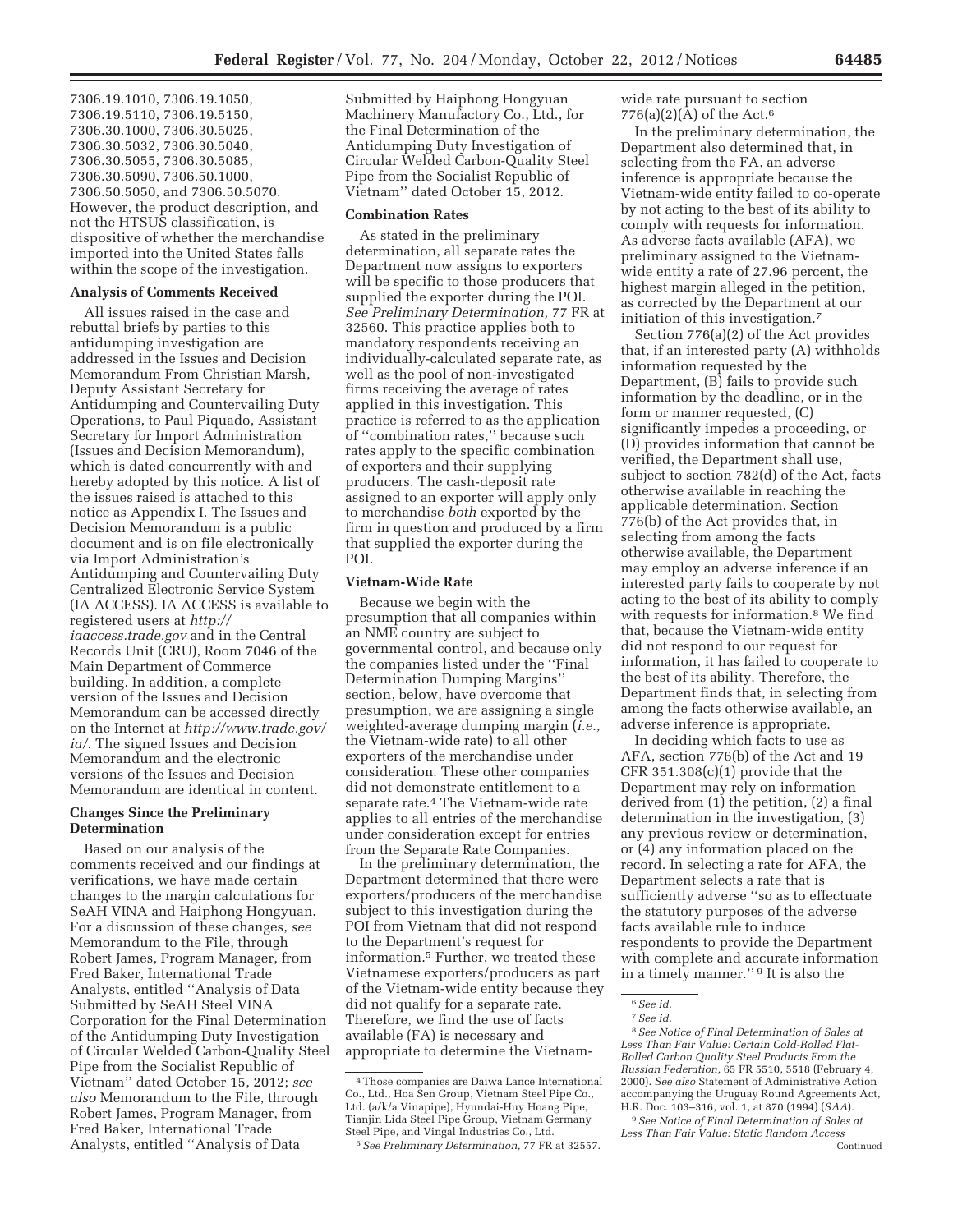7306.19.1010, 7306.19.1050, 7306.19.5110, 7306.19.5150, 7306.30.1000, 7306.30.5025, 7306.30.5032, 7306.30.5040, 7306.30.5055, 7306.30.5085, 7306.30.5090, 7306.50.1000, 7306.50.5050, and 7306.50.5070. However, the product description, and not the HTSUS classification, is dispositive of whether the merchandise imported into the United States falls within the scope of the investigation.

## **Analysis of Comments Received**

All issues raised in the case and rebuttal briefs by parties to this antidumping investigation are addressed in the Issues and Decision Memorandum From Christian Marsh, Deputy Assistant Secretary for Antidumping and Countervailing Duty Operations, to Paul Piquado, Assistant Secretary for Import Administration (Issues and Decision Memorandum), which is dated concurrently with and hereby adopted by this notice. A list of the issues raised is attached to this notice as Appendix I. The Issues and Decision Memorandum is a public document and is on file electronically via Import Administration's Antidumping and Countervailing Duty Centralized Electronic Service System (IA ACCESS). IA ACCESS is available to registered users at *http:// iaaccess.trade.gov* and in the Central Records Unit (CRU), Room 7046 of the Main Department of Commerce building. In addition, a complete version of the Issues and Decision Memorandum can be accessed directly on the Internet at *http://www.trade.gov/ ia/*. The signed Issues and Decision Memorandum and the electronic versions of the Issues and Decision Memorandum are identical in content.

#### **Changes Since the Preliminary Determination**

Based on our analysis of the comments received and our findings at verifications, we have made certain changes to the margin calculations for SeAH VINA and Haiphong Hongyuan. For a discussion of these changes, *see*  Memorandum to the File, through Robert James, Program Manager, from Fred Baker, International Trade Analysts, entitled ''Analysis of Data Submitted by SeAH Steel VINA Corporation for the Final Determination of the Antidumping Duty Investigation of Circular Welded Carbon-Quality Steel Pipe from the Socialist Republic of Vietnam'' dated October 15, 2012; *see also* Memorandum to the File, through Robert James, Program Manager, from Fred Baker, International Trade Analysts, entitled ''Analysis of Data

Submitted by Haiphong Hongyuan Machinery Manufactory Co., Ltd., for the Final Determination of the Antidumping Duty Investigation of Circular Welded Carbon-Quality Steel Pipe from the Socialist Republic of Vietnam'' dated October 15, 2012.

## **Combination Rates**

As stated in the preliminary determination, all separate rates the Department now assigns to exporters will be specific to those producers that supplied the exporter during the POI. *See Preliminary Determination,* 77 FR at 32560. This practice applies both to mandatory respondents receiving an individually-calculated separate rate, as well as the pool of non-investigated firms receiving the average of rates applied in this investigation. This practice is referred to as the application of ''combination rates,'' because such rates apply to the specific combination of exporters and their supplying producers. The cash-deposit rate assigned to an exporter will apply only to merchandise *both* exported by the firm in question and produced by a firm that supplied the exporter during the POI.

#### **Vietnam-Wide Rate**

Because we begin with the presumption that all companies within an NME country are subject to governmental control, and because only the companies listed under the ''Final Determination Dumping Margins'' section, below, have overcome that presumption, we are assigning a single weighted-average dumping margin (*i.e.,*  the Vietnam-wide rate) to all other exporters of the merchandise under consideration. These other companies did not demonstrate entitlement to a separate rate.4 The Vietnam-wide rate applies to all entries of the merchandise under consideration except for entries from the Separate Rate Companies.

In the preliminary determination, the Department determined that there were exporters/producers of the merchandise subject to this investigation during the POI from Vietnam that did not respond to the Department's request for information.5 Further, we treated these Vietnamese exporters/producers as part of the Vietnam-wide entity because they did not qualify for a separate rate. Therefore, we find the use of facts available (FA) is necessary and appropriate to determine the Vietnamwide rate pursuant to section 776(a)(2)(A) of the Act.<sup>6</sup>

In the preliminary determination, the Department also determined that, in selecting from the FA, an adverse inference is appropriate because the Vietnam-wide entity failed to co-operate by not acting to the best of its ability to comply with requests for information. As adverse facts available (AFA), we preliminary assigned to the Vietnamwide entity a rate of 27.96 percent, the highest margin alleged in the petition, as corrected by the Department at our initiation of this investigation.7

Section 776(a)(2) of the Act provides that, if an interested party (A) withholds information requested by the Department, (B) fails to provide such information by the deadline, or in the form or manner requested, (C) significantly impedes a proceeding, or (D) provides information that cannot be verified, the Department shall use, subject to section 782(d) of the Act, facts otherwise available in reaching the applicable determination. Section 776(b) of the Act provides that, in selecting from among the facts otherwise available, the Department may employ an adverse inference if an interested party fails to cooperate by not acting to the best of its ability to comply with requests for information.8 We find that, because the Vietnam-wide entity did not respond to our request for information, it has failed to cooperate to the best of its ability. Therefore, the Department finds that, in selecting from among the facts otherwise available, an adverse inference is appropriate.

In deciding which facts to use as AFA, section 776(b) of the Act and 19 CFR  $351.308(c)(1)$  provide that the Department may rely on information derived from (1) the petition, (2) a final determination in the investigation, (3) any previous review or determination, or (4) any information placed on the record. In selecting a rate for AFA, the Department selects a rate that is sufficiently adverse ''so as to effectuate the statutory purposes of the adverse facts available rule to induce respondents to provide the Department with complete and accurate information in a timely manner.'' 9 It is also the

<sup>4</sup>Those companies are Daiwa Lance International Co., Ltd., Hoa Sen Group, Vietnam Steel Pipe Co., Ltd. (a/k/a Vinapipe), Hyundai-Huy Hoang Pipe, Tianjin Lida Steel Pipe Group, Vietnam Germany Steel Pipe, and Vingal Industries Co., Ltd.

<sup>5</sup>*See Preliminary Determination,* 77 FR at 32557.

<sup>6</sup>*See id.*  7*See id.* 

<sup>8</sup>*See Notice of Final Determination of Sales at Less Than Fair Value: Certain Cold-Rolled Flat-Rolled Carbon Quality Steel Products From the Russian Federation,* 65 FR 5510, 5518 (February 4, 2000). *See also* Statement of Administrative Action accompanying the Uruguay Round Agreements Act, H.R. Doc. 103–316, vol. 1, at 870 (1994) (*SAA*).

<sup>9</sup>*See Notice of Final Determination of Sales at Less Than Fair Value: Static Random Access*  Continued